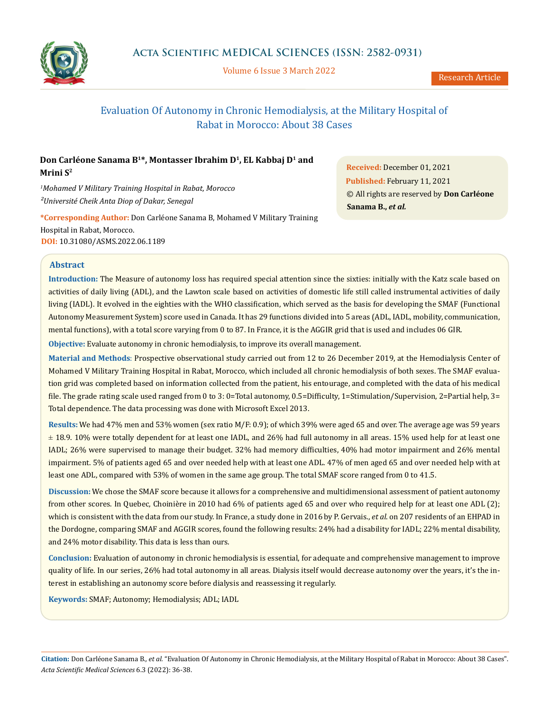

Volume 6 Issue 3 March 2022

# Evaluation Of Autonomy in Chronic Hemodialysis, at the Military Hospital of Rabat in Morocco: About 38 Cases

## **Don Carléone Sanama B1\*, Montasser Ibrahim D1, EL Kabbaj D1 and Mrini S2**

*1 Mohamed V Military Training Hospital in Rabat, Morocco ²Université Cheik Anta Diop of Dakar, Senegal*

**\*Corresponding Author:** Don Carléone Sanama B, Mohamed V Military Training Hospital in Rabat, Morocco. **DOI:** [10.31080/ASMS.2022.06.1189](https://actascientific.com/ASMS/pdf/ASMS-06-1189.pdf)

**Received:** December 01, 2021 **Published:** February 11, 2021 © All rights are reserved by **Don Carléone Sanama B.,** *et al.*

## **Abstract**

**Introduction:** The Measure of autonomy loss has required special attention since the sixties: initially with the Katz scale based on activities of daily living (ADL), and the Lawton scale based on activities of domestic life still called instrumental activities of daily living (IADL). It evolved in the eighties with the WHO classification, which served as the basis for developing the SMAF (Functional Autonomy Measurement System) score used in Canada. It has 29 functions divided into 5 areas (ADL, IADL, mobility, communication, mental functions), with a total score varying from 0 to 87. In France, it is the AGGIR grid that is used and includes 06 GIR.

**Objective:** Evaluate autonomy in chronic hemodialysis, to improve its overall management.

**Material and Methods**: Prospective observational study carried out from 12 to 26 December 2019, at the Hemodialysis Center of Mohamed V Military Training Hospital in Rabat, Morocco, which included all chronic hemodialysis of both sexes. The SMAF evaluation grid was completed based on information collected from the patient, his entourage, and completed with the data of his medical file. The grade rating scale used ranged from 0 to 3: 0=Total autonomy, 0.5=Difficulty, 1=Stimulation/Supervision, 2=Partial help, 3= Total dependence. The data processing was done with Microsoft Excel 2013.

**Results:** We had 47% men and 53% women (sex ratio M/F: 0.9); of which 39% were aged 65 and over. The average age was 59 years ± 18.9. 10% were totally dependent for at least one IADL, and 26% had full autonomy in all areas. 15% used help for at least one IADL; 26% were supervised to manage their budget. 32% had memory difficulties, 40% had motor impairment and 26% mental impairment. 5% of patients aged 65 and over needed help with at least one ADL. 47% of men aged 65 and over needed help with at least one ADL, compared with 53% of women in the same age group. The total SMAF score ranged from 0 to 41.5.

**Discussion:** We chose the SMAF score because it allows for a comprehensive and multidimensional assessment of patient autonomy from other scores. In Quebec, Choinière in 2010 had 6% of patients aged 65 and over who required help for at least one ADL (2); which is consistent with the data from our study. In France, a study done in 2016 by P. Gervais., *et al*. on 207 residents of an EHPAD in the Dordogne, comparing SMAF and AGGIR scores, found the following results: 24% had a disability for IADL; 22% mental disability, and 24% motor disability. This data is less than ours.

**Conclusion:** Evaluation of autonomy in chronic hemodialysis is essential, for adequate and comprehensive management to improve quality of life. In our series, 26% had total autonomy in all areas. Dialysis itself would decrease autonomy over the years, it's the interest in establishing an autonomy score before dialysis and reassessing it regularly.

**Keywords:** SMAF; Autonomy; Hemodialysis; ADL; IADL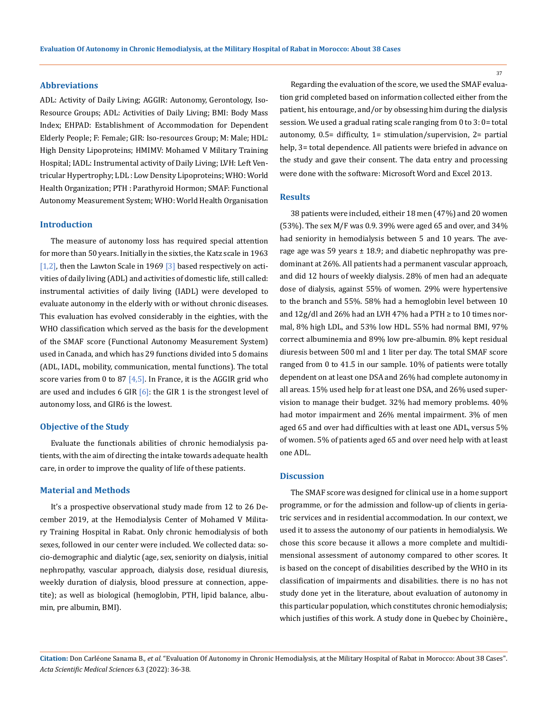#### **Abbreviations**

ADL: Activity of Daily Living; AGGIR: Autonomy, Gerontology, Iso-Resource Groups; ADL: Activities of Daily Living; BMI: Body Mass Index; EHPAD: Establishment of Accommodation for Dependent Elderly People; F: Female; GIR: Iso-resources Group; M: Male; HDL: High Density Lipoproteins; HMIMV: Mohamed V Military Training Hospital; IADL: Instrumental activity of Daily Living; LVH: Left Ventricular Hypertrophy; LDL : Low Density Lipoproteins; WHO: World Health Organization; PTH : Parathyroid Hormon; SMAF: Functional Autonomy Measurement System; WHO: World Health Organisation

#### **Introduction**

The measure of autonomy loss has required special attention for more than 50 years. Initially in the sixties, the Katz scale in 1963  $[1,2]$ , then the Lawton Scale in 1969  $[3]$  based respectively on activities of daily living (ADL) and activities of domestic life, still called: instrumental activities of daily living (IADL) were developed to evaluate autonomy in the elderly with or without chronic diseases. This evaluation has evolved considerably in the eighties, with the WHO classification which served as the basis for the development of the SMAF score (Functional Autonomy Measurement System) used in Canada, and which has 29 functions divided into 5 domains (ADL, IADL, mobility, communication, mental functions). The total score varies from 0 to 87  $[4,5]$ . In France, it is the AGGIR grid who are used and includes 6 GIR  $[6]$ : the GIR 1 is the strongest level of autonomy loss, and GIR6 is the lowest.

#### **Objective of the Study**

Evaluate the functionals abilities of chronic hemodialysis patients, with the aim of directing the intake towards adequate health care, in order to improve the quality of life of these patients.

### **Material and Methods**

It's a prospective observational study made from 12 to 26 December 2019, at the Hemodialysis Center of Mohamed V Military Training Hospital in Rabat. Only chronic hemodialysis of both sexes, followed in our center were included. We collected data: socio-demographic and dialytic (age, sex, seniority on dialysis, initial nephropathy, vascular approach, dialysis dose, residual diuresis, weekly duration of dialysis, blood pressure at connection, appetite); as well as biological (hemoglobin, PTH, lipid balance, albumin, pre albumin, BMI).

Regarding the evaluation of the score, we used the SMAF evaluation grid completed based on information collected either from the patient, his entourage, and/or by obsessing him during the dialysis session. We used a gradual rating scale ranging from 0 to 3: 0= total autonomy, 0.5= difficulty, 1= stimulation/supervision, 2= partial help, 3= total dependence. All patients were briefed in advance on the study and gave their consent. The data entry and processing were done with the software: Microsoft Word and Excel 2013.

## **Results**

38 patients were included, eitheir 18 men (47%) and 20 women (53%). The sex M/F was 0.9. 39% were aged 65 and over, and 34% had seniority in hemodialysis between 5 and 10 years. The average age was 59 years  $\pm$  18.9; and diabetic nephropathy was predominant at 26%. All patients had a permanent vascular approach, and did 12 hours of weekly dialysis. 28% of men had an adequate dose of dialysis, against 55% of women. 29% were hypertensive to the branch and 55%. 58% had a hemoglobin level between 10 and  $12g/dl$  and  $26%$  had an LVH 47% had a PTH  $\geq$  to 10 times normal, 8% high LDL, and 53% low HDL. 55% had normal BMI, 97% correct albuminemia and 89% low pre-albumin. 8% kept residual diuresis between 500 ml and 1 liter per day. The total SMAF score ranged from 0 to 41.5 in our sample. 10% of patients were totally dependent on at least one DSA and 26% had complete autonomy in all areas. 15% used help for at least one DSA, and 26% used supervision to manage their budget. 32% had memory problems. 40% had motor impairment and 26% mental impairment. 3% of men aged 65 and over had difficulties with at least one ADL, versus 5% of women. 5% of patients aged 65 and over need help with at least one ADL.

#### **Discussion**

The SMAF score was designed for clinical use in a home support programme, or for the admission and follow-up of clients in geriatric services and in residential accommodation. In our context, we used it to assess the autonomy of our patients in hemodialysis. We chose this score because it allows a more complete and multidimensional assessment of autonomy compared to other scores. It is based on the concept of disabilities described by the WHO in its classification of impairments and disabilities. there is no has not study done yet in the literature, about evaluation of autonomy in this particular population, which constitutes chronic hemodialysis; which justifies of this work. A study done in Quebec by Choinière.,

**Citation:** Don Carléone Sanama B*., et al.* "Evaluation Of Autonomy in Chronic Hemodialysis, at the Military Hospital of Rabat in Morocco: About 38 Cases". *Acta Scientific Medical Sciences* 6.3 (2022): 36-38.

37